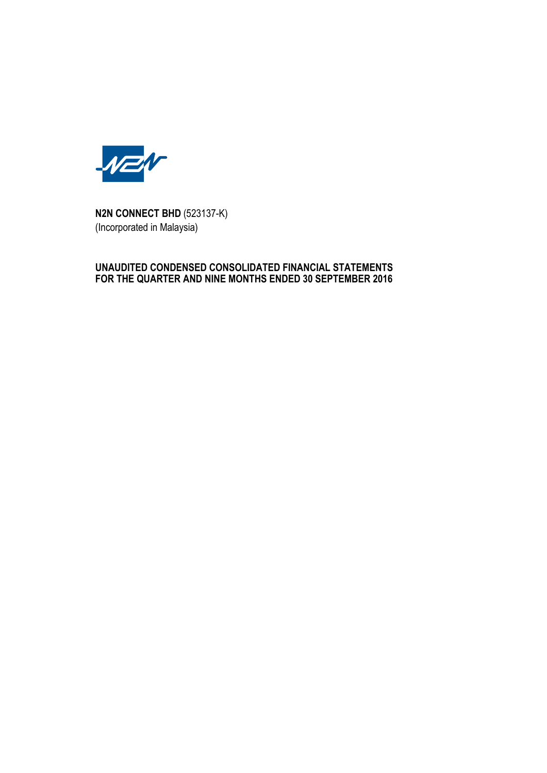

**N2N CONNECT BHD** (523137-K) (Incorporated in Malaysia)

# **UNAUDITED CONDENSED CONSOLIDATED FINANCIAL STATEMENTS FOR THE QUARTER AND NINE MONTHS ENDED 30 SEPTEMBER 2016**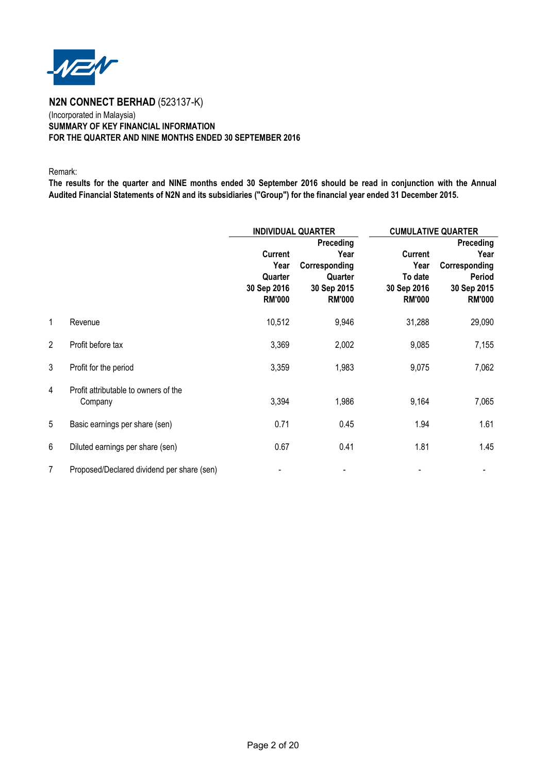

# (Incorporated in Malaysia) **SUMMARY OF KEY FINANCIAL INFORMATION FOR THE QUARTER AND NINE MONTHS ENDED 30 SEPTEMBER 2016**

Remark:

**The results for the quarter and NINE months ended 30 September 2016 should be read in conjunction with the Annual Audited Financial Statements of N2N and its subsidiaries ("Group") for the financial year ended 31 December 2015.**

|                |                                                 |                                                                   | <b>INDIVIDUAL QUARTER</b>                                                     | <b>CUMULATIVE QUARTER</b>                                         |                                                                                     |
|----------------|-------------------------------------------------|-------------------------------------------------------------------|-------------------------------------------------------------------------------|-------------------------------------------------------------------|-------------------------------------------------------------------------------------|
|                |                                                 | <b>Current</b><br>Year<br>Quarter<br>30 Sep 2016<br><b>RM'000</b> | Preceding<br>Year<br>Corresponding<br>Quarter<br>30 Sep 2015<br><b>RM'000</b> | <b>Current</b><br>Year<br>To date<br>30 Sep 2016<br><b>RM'000</b> | Preceding<br>Year<br>Corresponding<br><b>Period</b><br>30 Sep 2015<br><b>RM'000</b> |
| $\mathbf{1}$   | Revenue                                         | 10,512                                                            | 9,946                                                                         | 31,288                                                            | 29,090                                                                              |
| $\overline{2}$ | Profit before tax                               | 3,369                                                             | 2,002                                                                         | 9,085                                                             | 7,155                                                                               |
| 3              | Profit for the period                           | 3,359                                                             | 1,983                                                                         | 9,075                                                             | 7,062                                                                               |
| 4              | Profit attributable to owners of the<br>Company | 3,394                                                             | 1,986                                                                         | 9,164                                                             | 7,065                                                                               |
| 5              | Basic earnings per share (sen)                  | 0.71                                                              | 0.45                                                                          | 1.94                                                              | 1.61                                                                                |
| 6              | Diluted earnings per share (sen)                | 0.67                                                              | 0.41                                                                          | 1.81                                                              | 1.45                                                                                |
| $\overline{7}$ | Proposed/Declared dividend per share (sen)      | $\qquad \qquad \blacksquare$                                      |                                                                               |                                                                   |                                                                                     |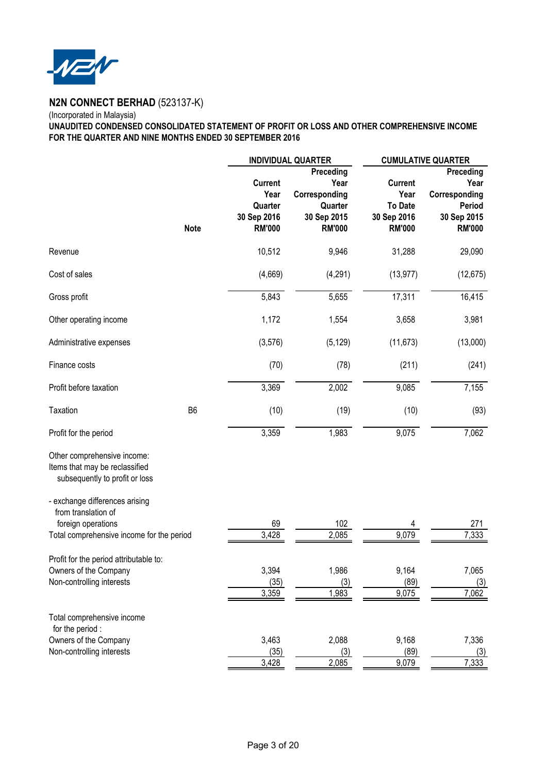

# (Incorporated in Malaysia)

**UNAUDITED CONDENSED CONSOLIDATED STATEMENT OF PROFIT OR LOSS AND OTHER COMPREHENSIVE INCOME FOR THE QUARTER AND NINE MONTHS ENDED 30 SEPTEMBER 2016**

|                                                                                                                                   |                | <b>INDIVIDUAL QUARTER</b>                                  |                                                                               | <b>CUMULATIVE QUARTER</b>                                                |                                                                              |  |
|-----------------------------------------------------------------------------------------------------------------------------------|----------------|------------------------------------------------------------|-------------------------------------------------------------------------------|--------------------------------------------------------------------------|------------------------------------------------------------------------------|--|
|                                                                                                                                   | <b>Note</b>    | Current<br>Year<br>Quarter<br>30 Sep 2016<br><b>RM'000</b> | Preceding<br>Year<br>Corresponding<br>Quarter<br>30 Sep 2015<br><b>RM'000</b> | <b>Current</b><br>Year<br><b>To Date</b><br>30 Sep 2016<br><b>RM'000</b> | Preceding<br>Year<br>Corresponding<br>Period<br>30 Sep 2015<br><b>RM'000</b> |  |
| Revenue                                                                                                                           |                | 10,512                                                     | 9,946                                                                         | 31,288                                                                   | 29,090                                                                       |  |
| Cost of sales                                                                                                                     |                | (4,669)                                                    | (4,291)                                                                       | (13, 977)                                                                | (12, 675)                                                                    |  |
| Gross profit                                                                                                                      |                | 5,843                                                      | 5,655                                                                         | 17,311                                                                   | 16,415                                                                       |  |
| Other operating income                                                                                                            |                | 1,172                                                      | 1,554                                                                         | 3,658                                                                    | 3,981                                                                        |  |
| Administrative expenses                                                                                                           |                | (3, 576)                                                   | (5, 129)                                                                      | (11, 673)                                                                | (13,000)                                                                     |  |
| Finance costs                                                                                                                     |                | (70)                                                       | (78)                                                                          | (211)                                                                    | (241)                                                                        |  |
| Profit before taxation                                                                                                            |                | 3,369                                                      | 2,002                                                                         | 9,085                                                                    | 7,155                                                                        |  |
| Taxation                                                                                                                          | B <sub>6</sub> | (10)                                                       | (19)                                                                          | (10)                                                                     | (93)                                                                         |  |
| Profit for the period                                                                                                             |                | 3,359                                                      | 1,983                                                                         | 9,075                                                                    | 7,062                                                                        |  |
| Other comprehensive income:<br>Items that may be reclassified<br>subsequently to profit or loss<br>- exchange differences arising |                |                                                            |                                                                               |                                                                          |                                                                              |  |
| from translation of                                                                                                               |                |                                                            |                                                                               |                                                                          |                                                                              |  |
| foreign operations<br>Total comprehensive income for the period                                                                   |                | 69<br>3,428                                                | 102<br>2,085                                                                  | 9,079                                                                    | 271<br>7,333                                                                 |  |
| Profit for the period attributable to:<br>Owners of the Company<br>Non-controlling interests                                      |                | 3,394<br>(35)<br>3,359                                     | 1,986<br>(3)<br>1,983                                                         | 9,164<br>(89)<br>9,075                                                   | 7,065<br>(3)<br>7,062                                                        |  |
| Total comprehensive income<br>for the period :                                                                                    |                |                                                            |                                                                               |                                                                          |                                                                              |  |
| Owners of the Company<br>Non-controlling interests                                                                                |                | 3,463<br>(35)<br>3,428                                     | 2,088<br>(3)<br>2,085                                                         | 9,168<br>(89)<br>9,079                                                   | 7,336<br>(3)<br>7,333                                                        |  |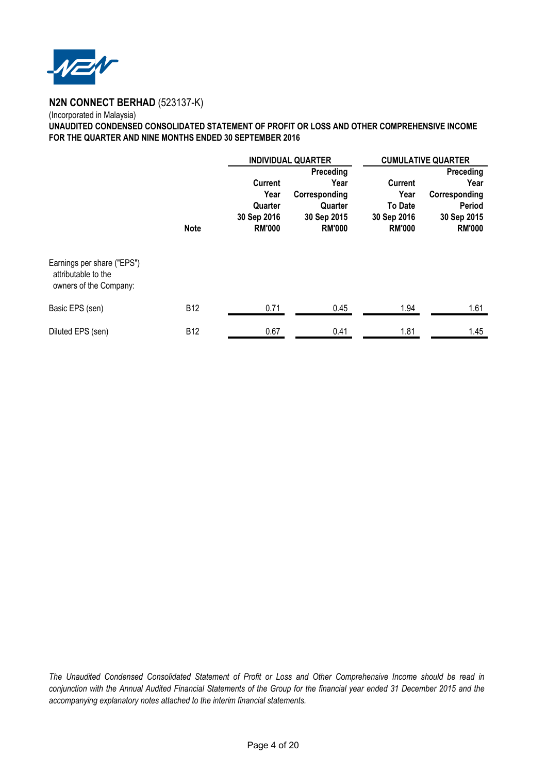

# (Incorporated in Malaysia) **UNAUDITED CONDENSED CONSOLIDATED STATEMENT OF PROFIT OR LOSS AND OTHER COMPREHENSIVE INCOME FOR THE QUARTER AND NINE MONTHS ENDED 30 SEPTEMBER 2016**

|                                                                             |             |                                                 | <b>INDIVIDUAL QUARTER</b>                                |                                                        | <b>CUMULATIVE QUARTER</b>                                      |
|-----------------------------------------------------------------------------|-------------|-------------------------------------------------|----------------------------------------------------------|--------------------------------------------------------|----------------------------------------------------------------|
|                                                                             |             | <b>Current</b>                                  | Preceding<br>Year                                        | <b>Current</b>                                         | Preceding<br>Year                                              |
|                                                                             | <b>Note</b> | Year<br>Quarter<br>30 Sep 2016<br><b>RM'000</b> | Corresponding<br>Quarter<br>30 Sep 2015<br><b>RM'000</b> | Year<br><b>To Date</b><br>30 Sep 2016<br><b>RM'000</b> | Corresponding<br><b>Period</b><br>30 Sep 2015<br><b>RM'000</b> |
| Earnings per share ("EPS")<br>attributable to the<br>owners of the Company: |             |                                                 |                                                          |                                                        |                                                                |
| Basic EPS (sen)                                                             | <b>B12</b>  | 0.71                                            | 0.45                                                     | 1.94                                                   | 1.61                                                           |
| Diluted EPS (sen)                                                           | <b>B12</b>  | 0.67                                            | 0.41                                                     | 1.81                                                   | 1.45                                                           |

*The Unaudited Condensed Consolidated Statement of Profit or Loss and Other Comprehensive Income should be read in conjunction with the Annual Audited Financial Statements of the Group for the financial year ended 31 December 2015 and the accompanying explanatory notes attached to the interim financial statements.*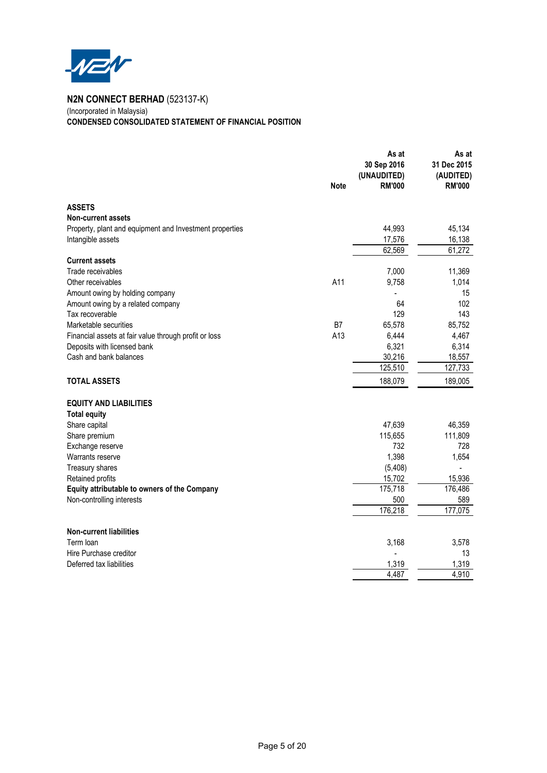

(Incorporated in Malaysia) **CONDENSED CONSOLIDATED STATEMENT OF FINANCIAL POSITION**

|                                                         | <b>Note</b> | As at<br>30 Sep 2016<br>(UNAUDITED)<br><b>RM'000</b> | As at<br>31 Dec 2015<br>(AUDITED)<br><b>RM'000</b> |
|---------------------------------------------------------|-------------|------------------------------------------------------|----------------------------------------------------|
| <b>ASSETS</b>                                           |             |                                                      |                                                    |
| <b>Non-current assets</b>                               |             |                                                      |                                                    |
| Property, plant and equipment and Investment properties |             | 44,993                                               | 45,134                                             |
| Intangible assets                                       |             | 17,576                                               | 16,138                                             |
|                                                         |             | 62,569                                               | 61,272                                             |
| <b>Current assets</b>                                   |             |                                                      |                                                    |
| Trade receivables                                       |             | 7,000                                                | 11,369                                             |
| Other receivables                                       | A11         | 9,758                                                | 1,014                                              |
| Amount owing by holding company                         |             | 64                                                   | 15<br>102                                          |
| Amount owing by a related company<br>Tax recoverable    |             | 129                                                  | 143                                                |
| Marketable securities                                   | B7          | 65,578                                               | 85,752                                             |
| Financial assets at fair value through profit or loss   | A13         | 6,444                                                | 4,467                                              |
| Deposits with licensed bank                             |             | 6,321                                                | 6,314                                              |
| Cash and bank balances                                  |             | 30,216                                               | 18,557                                             |
|                                                         |             | 125,510                                              | 127,733                                            |
| <b>TOTAL ASSETS</b>                                     |             | 188,079                                              | 189,005                                            |
| <b>EQUITY AND LIABILITIES</b>                           |             |                                                      |                                                    |
| <b>Total equity</b>                                     |             |                                                      |                                                    |
| Share capital                                           |             | 47,639                                               | 46,359                                             |
| Share premium                                           |             | 115,655                                              | 111,809                                            |
| Exchange reserve                                        |             | 732                                                  | 728                                                |
| Warrants reserve                                        |             | 1,398                                                | 1,654                                              |
| Treasury shares                                         |             | (5, 408)                                             |                                                    |
| Retained profits                                        |             | 15,702                                               | 15,936                                             |
| Equity attributable to owners of the Company            |             | 175,718                                              | 176,486                                            |
| Non-controlling interests                               |             | 500                                                  | 589                                                |
|                                                         |             | 176,218                                              | 177,075                                            |
| <b>Non-current liabilities</b>                          |             |                                                      |                                                    |
| Term loan                                               |             | 3,168                                                | 3,578                                              |
| Hire Purchase creditor                                  |             |                                                      | 13                                                 |
| Deferred tax liabilities                                |             | 1,319                                                | 1,319                                              |
|                                                         |             | 4,487                                                | 4,910                                              |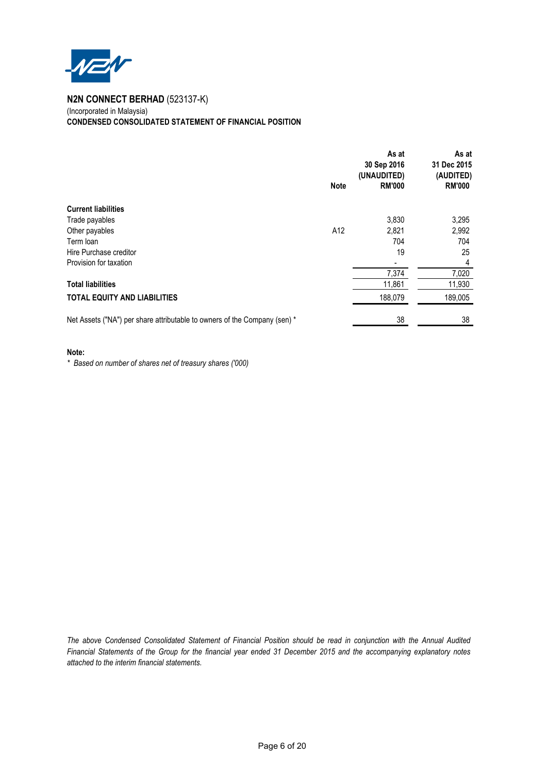

(Incorporated in Malaysia) **CONDENSED CONSOLIDATED STATEMENT OF FINANCIAL POSITION**

|                                                                           | <b>Note</b> | As at<br>30 Sep 2016<br>(UNAUDITED)<br><b>RM'000</b> | As at<br>31 Dec 2015<br>(AUDITED)<br><b>RM'000</b> |
|---------------------------------------------------------------------------|-------------|------------------------------------------------------|----------------------------------------------------|
| <b>Current liabilities</b>                                                |             |                                                      |                                                    |
| Trade payables                                                            |             | 3,830                                                | 3,295                                              |
| Other payables                                                            | A12         | 2,821                                                | 2,992                                              |
| Term loan                                                                 |             | 704                                                  | 704                                                |
| Hire Purchase creditor                                                    |             | 19                                                   | 25                                                 |
| Provision for taxation                                                    |             |                                                      | $\overline{4}$                                     |
|                                                                           |             | 7,374                                                | 7,020                                              |
| <b>Total liabilities</b>                                                  |             | 11,861                                               | 11,930                                             |
| <b>TOTAL EQUITY AND LIABILITIES</b>                                       |             | 188,079                                              | 189,005                                            |
| Net Assets ("NA") per share attributable to owners of the Company (sen) * |             | 38                                                   | 38                                                 |

#### **Note:**

*\* Based on number of shares net of treasury shares ('000)*

*The above Condensed Consolidated Statement of Financial Position should be read in conjunction with the Annual Audited Financial Statements of the Group for the financial year ended 31 December 2015 and the accompanying explanatory notes attached to the interim financial statements.*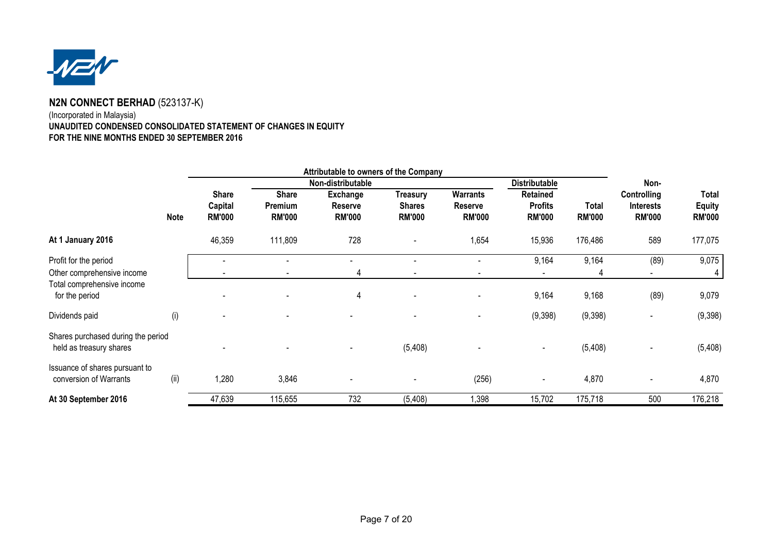

# (Incorporated in Malaysia) **UNAUDITED CONDENSED CONSOLIDATED STATEMENT OF CHANGES IN EQUITYFOR THE NINE MONTHS ENDED 30 SEPTEMBER 2016**

|                                                               | Attributable to owners of the Company |                          |                          |                                 |                                |                          |                                 |                               |                                   |                                |
|---------------------------------------------------------------|---------------------------------------|--------------------------|--------------------------|---------------------------------|--------------------------------|--------------------------|---------------------------------|-------------------------------|-----------------------------------|--------------------------------|
|                                                               |                                       |                          |                          | Non-distributable               |                                |                          | <b>Distributable</b>            |                               | Non-                              |                                |
|                                                               |                                       | <b>Share</b>             | <b>Share</b>             | Exchange                        | Treasury                       | Warrants                 | Retained                        |                               | Controlling                       | Total                          |
|                                                               | <b>Note</b>                           | Capital<br><b>RM'000</b> | Premium<br><b>RM'000</b> | <b>Reserve</b><br><b>RM'000</b> | <b>Shares</b><br><b>RM'000</b> | Reserve<br><b>RM'000</b> | <b>Profits</b><br><b>RM'000</b> | <b>Total</b><br><b>RM'000</b> | <b>Interests</b><br><b>RM'000</b> | <b>Equity</b><br><b>RM'000</b> |
| At 1 January 2016                                             |                                       | 46,359                   | 111,809                  | 728                             |                                | 1,654                    | 15,936                          | 176,486                       | 589                               | 177,075                        |
| Profit for the period                                         |                                       |                          |                          |                                 |                                |                          | 9,164                           | 9,164                         | (89)                              | 9,075                          |
| Other comprehensive income                                    |                                       |                          |                          | 4                               |                                |                          |                                 |                               |                                   | 4                              |
| Total comprehensive income<br>for the period                  |                                       |                          |                          | 4                               |                                |                          | 9,164                           | 9,168                         | (89)                              | 9,079                          |
| Dividends paid                                                | (i)                                   |                          |                          |                                 |                                |                          | (9,398)                         | (9,398)                       | $\overline{\phantom{a}}$          | (9,398)                        |
| Shares purchased during the period<br>held as treasury shares |                                       |                          |                          |                                 | (5, 408)                       |                          |                                 | (5, 408)                      |                                   | (5, 408)                       |
| Issuance of shares pursuant to<br>conversion of Warrants      | (ii)                                  | 1,280                    | 3,846                    |                                 |                                | (256)                    | $\blacksquare$                  | 4,870                         |                                   | 4,870                          |
| At 30 September 2016                                          |                                       | 47,639                   | 115,655                  | 732                             | (5,408)                        | 1,398                    | 15,702                          | 175,718                       | 500                               | 176,218                        |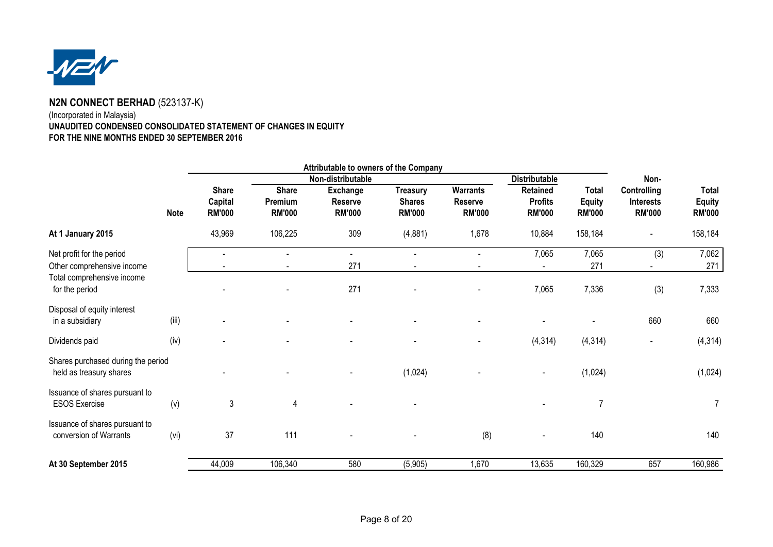

# (Incorporated in Malaysia) **UNAUDITED CONDENSED CONSOLIDATED STATEMENT OF CHANGES IN EQUITYFOR THE NINE MONTHS ENDED 30 SEPTEMBER 2016**

|                                                               |             | Attributable to owners of the Company    |                                          |                                      |                                                   |                                      |                                                    |                                                |                                                         |                                         |      |  |
|---------------------------------------------------------------|-------------|------------------------------------------|------------------------------------------|--------------------------------------|---------------------------------------------------|--------------------------------------|----------------------------------------------------|------------------------------------------------|---------------------------------------------------------|-----------------------------------------|------|--|
|                                                               |             |                                          |                                          |                                      |                                                   | Non-distributable                    |                                                    |                                                | <b>Distributable</b>                                    |                                         | Non- |  |
|                                                               | <b>Note</b> | <b>Share</b><br>Capital<br><b>RM'000</b> | <b>Share</b><br>Premium<br><b>RM'000</b> | Exchange<br>Reserve<br><b>RM'000</b> | <b>Treasury</b><br><b>Shares</b><br><b>RM'000</b> | Warrants<br>Reserve<br><b>RM'000</b> | <b>Retained</b><br><b>Profits</b><br><b>RM'000</b> | <b>Total</b><br><b>Equity</b><br><b>RM'000</b> | <b>Controlling</b><br><b>Interests</b><br><b>RM'000</b> | Total<br><b>Equity</b><br><b>RM'000</b> |      |  |
| At 1 January 2015                                             |             | 43,969                                   | 106,225                                  | 309                                  | (4,881)                                           | 1,678                                | 10,884                                             | 158,184                                        |                                                         | 158,184                                 |      |  |
| Net profit for the period<br>Other comprehensive income       |             |                                          |                                          | 271                                  |                                                   |                                      | 7,065                                              | 7,065<br>271                                   | (3)                                                     | 7,062<br>271                            |      |  |
| Total comprehensive income<br>for the period                  |             |                                          |                                          | 271                                  |                                                   |                                      | 7,065                                              | 7,336                                          | (3)                                                     | 7,333                                   |      |  |
| Disposal of equity interest<br>in a subsidiary                | (iii)       |                                          |                                          |                                      |                                                   |                                      |                                                    |                                                | 660                                                     | 660                                     |      |  |
| Dividends paid                                                | (iv)        |                                          |                                          |                                      |                                                   |                                      | (4, 314)                                           | (4, 314)                                       |                                                         | (4, 314)                                |      |  |
| Shares purchased during the period<br>held as treasury shares |             |                                          |                                          |                                      | (1,024)                                           |                                      |                                                    | (1,024)                                        |                                                         | (1,024)                                 |      |  |
| Issuance of shares pursuant to<br><b>ESOS Exercise</b>        | (v)         | $\mathfrak{Z}$                           | $\overline{4}$                           |                                      |                                                   |                                      |                                                    | $\overline{7}$                                 |                                                         | $\overline{7}$                          |      |  |
| Issuance of shares pursuant to<br>conversion of Warrants      | (vi)        | 37                                       | 111                                      |                                      |                                                   | (8)                                  | $\overline{\phantom{0}}$                           | 140                                            |                                                         | 140                                     |      |  |
| At 30 September 2015                                          |             | 44,009                                   | 106,340                                  | 580                                  | (5,905)                                           | 1,670                                | 13,635                                             | 160,329                                        | 657                                                     | 160,986                                 |      |  |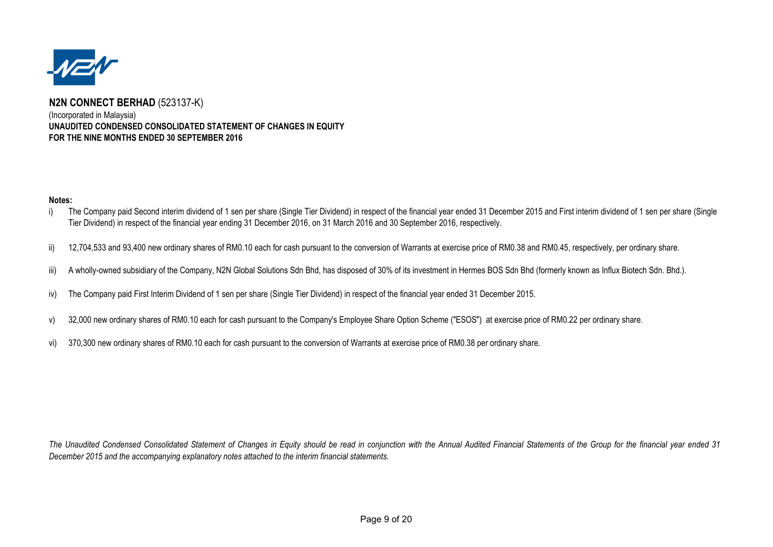

# **N2N CONNECT BERHAD** (523137-K)(Incorporated in Malaysia) **UNAUDITED CONDENSED CONSOLIDATED STATEMENT OF CHANGES IN EQUITYFOR THE NINE MONTHS ENDED 30 SEPTEMBER 2016**

## **Notes:**

- i)The Company paid Second interim dividend of 1 sen per share (Single Tier Dividend) in respect of the financial year ended 31 December 2015 and First interim dividend of 1 sen per share (Single Tier Dividend) in respect of the financial year ending 31 December 2016, on 31 March 2016 and 30 September 2016, respectively.
- ii)12,704,533 and 93,400 new ordinary shares of RM0.10 each for cash pursuant to the conversion of Warrants at exercise price of RM0.38 and RM0.45, respectively, per ordinary share.
- iii) A wholly-owned subsidiary of the Company, N2N Global Solutions Sdn Bhd, has disposed of 30% of its investment in Hermes BOS Sdn Bhd (formerly known as Influx Biotech Sdn. Bhd.).
- iv) The Company paid First Interim Dividend of 1 sen per share (Single Tier Dividend) in respect of the financial year ended 31 December 2015.
- v) 32,000 new ordinary shares of RM0.10 each for cash pursuant to the Company's Employee Share Option Scheme ("ESOS") at exercise price of RM0.22 per ordinary share.
- vi)370,300 new ordinary shares of RM0.10 each for cash pursuant to the conversion of Warrants at exercise price of RM0.38 per ordinary share.

The Unaudited Condensed Consolidated Statement of Changes in Equity should be read in conjunction with the Annual Audited Financial Statements of the Group for the financial year ended 31 *December 2015 and the accompanying explanatory notes attached to the interim financial statements.*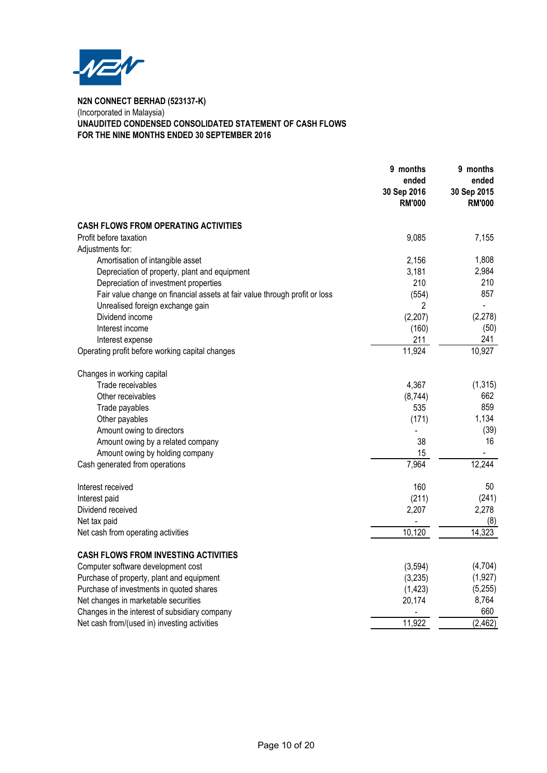

# **N2N CONNECT BERHAD (523137-K)** (Incorporated in Malaysia) **UNAUDITED CONDENSED CONSOLIDATED STATEMENT OF CASH FLOWS FOR THE NINE MONTHS ENDED 30 SEPTEMBER 2016**

|                                                                            | 9 months<br>ended<br>30 Sep 2016<br><b>RM'000</b> | 9 months<br>ended<br>30 Sep 2015<br><b>RM'000</b> |
|----------------------------------------------------------------------------|---------------------------------------------------|---------------------------------------------------|
| <b>CASH FLOWS FROM OPERATING ACTIVITIES</b>                                |                                                   |                                                   |
| Profit before taxation                                                     | 9,085                                             | 7,155                                             |
| Adjustments for:                                                           |                                                   |                                                   |
| Amortisation of intangible asset                                           | 2,156                                             | 1,808                                             |
| Depreciation of property, plant and equipment                              | 3,181                                             | 2,984                                             |
| Depreciation of investment properties                                      | 210                                               | 210                                               |
| Fair value change on financial assets at fair value through profit or loss | (554)                                             | 857                                               |
| Unrealised foreign exchange gain                                           | $\overline{2}$                                    |                                                   |
| Dividend income                                                            | (2,207)                                           | (2, 278)                                          |
| Interest income                                                            | (160)                                             | (50)                                              |
| Interest expense                                                           | 211                                               | 241                                               |
| Operating profit before working capital changes                            | 11,924                                            | 10,927                                            |
| Changes in working capital                                                 |                                                   |                                                   |
| Trade receivables                                                          | 4,367                                             | (1, 315)                                          |
| Other receivables                                                          | (8,744)                                           | 662                                               |
| Trade payables                                                             | 535                                               | 859                                               |
| Other payables                                                             | (171)                                             | 1,134                                             |
| Amount owing to directors                                                  |                                                   | (39)                                              |
| Amount owing by a related company                                          | 38                                                | 16                                                |
| Amount owing by holding company                                            | 15                                                | $\blacksquare$                                    |
| Cash generated from operations                                             | 7,964                                             | 12,244                                            |
| Interest received                                                          | 160                                               | 50                                                |
| Interest paid                                                              | (211)                                             | (241)                                             |
| Dividend received                                                          | 2,207                                             | 2,278                                             |
| Net tax paid                                                               |                                                   | (8)                                               |
| Net cash from operating activities                                         | 10,120                                            | 14,323                                            |
| <b>CASH FLOWS FROM INVESTING ACTIVITIES</b>                                |                                                   |                                                   |
| Computer software development cost                                         | (3,594)                                           | (4,704)                                           |
| Purchase of property, plant and equipment                                  | (3,235)                                           | (1, 927)                                          |
| Purchase of investments in quoted shares                                   | (1, 423)                                          | (5,255)                                           |
| Net changes in marketable securities                                       | 20,174                                            | 8,764                                             |
| Changes in the interest of subsidiary company                              |                                                   | 660                                               |
| Net cash from/(used in) investing activities                               | 11,922                                            | (2, 462)                                          |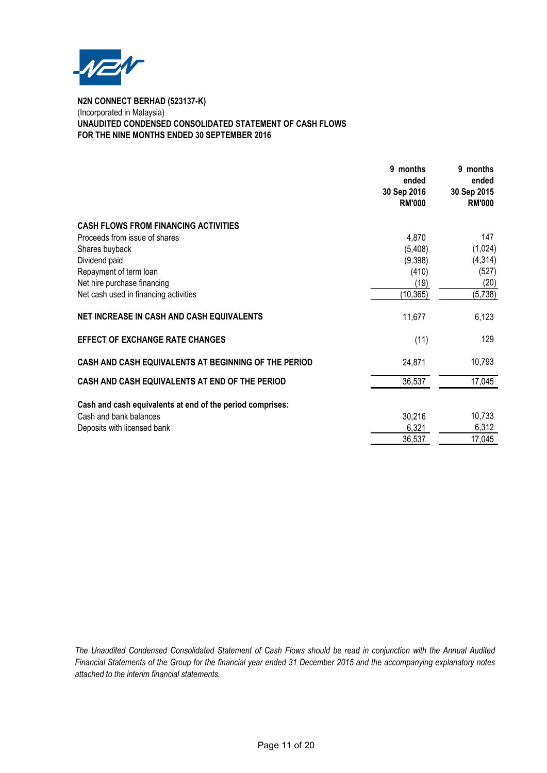

# **N2N CONNECT BERHAD (523137-K)** (Incorporated in Malaysia) **UNAUDITED CONDENSED CONSOLIDATED STATEMENT OF CASH FLOWS FOR THE NINE MONTHS ENDED 30 SEPTEMBER 2016**

|                                                           | 9 months<br>ended<br>30 Sep 2016<br><b>RM'000</b> | 9 months<br>ended<br>30 Sep 2015<br><b>RM'000</b> |
|-----------------------------------------------------------|---------------------------------------------------|---------------------------------------------------|
| <b>CASH FLOWS FROM FINANCING ACTIVITIES</b>               |                                                   |                                                   |
| Proceeds from issue of shares                             | 4,870                                             | 147                                               |
| Shares buyback                                            | (5,408)                                           | (1,024)                                           |
| Dividend paid                                             | (9,398)                                           | (4, 314)                                          |
| Repayment of term loan                                    | (410)                                             | (527)                                             |
| Net hire purchase financing                               | (19)                                              | (20)                                              |
| Net cash used in financing activities                     | (10, 365)                                         | (5, 738)                                          |
| <b>NET INCREASE IN CASH AND CASH EQUIVALENTS</b>          | 11,677                                            | 6,123                                             |
| <b>EFFECT OF EXCHANGE RATE CHANGES</b>                    | (11)                                              | 129                                               |
| CASH AND CASH EQUIVALENTS AT BEGINNING OF THE PERIOD      | 24,871                                            | 10,793                                            |
| CASH AND CASH EQUIVALENTS AT END OF THE PERIOD            | 36,537                                            | 17,045                                            |
| Cash and cash equivalents at end of the period comprises: |                                                   |                                                   |
| Cash and bank balances                                    | 30,216                                            | 10,733                                            |
| Deposits with licensed bank                               | 6,321                                             | 6,312                                             |
|                                                           | 36,537                                            | 17,045                                            |
|                                                           |                                                   |                                                   |

*The Unaudited Condensed Consolidated Statement of Cash Flows should be read in conjunction with the Annual Audited Financial Statements of the Group for the financial year ended 31 December 2015 and the accompanying explanatory notes attached to the interim financial statements.*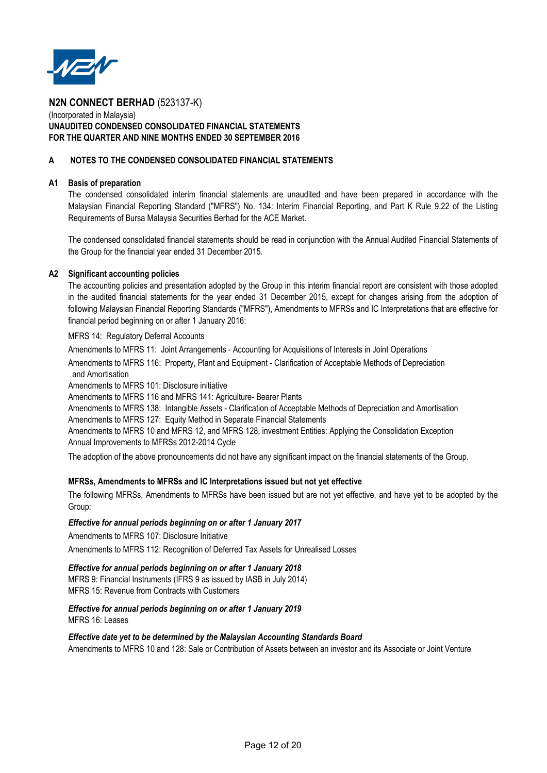

# (Incorporated in Malaysia) **UNAUDITED CONDENSED CONSOLIDATED FINANCIAL STATEMENTS FOR THE QUARTER AND NINE MONTHS ENDED 30 SEPTEMBER 2016**

# **A NOTES TO THE CONDENSED CONSOLIDATED FINANCIAL STATEMENTS**

## **A1 Basis of preparation**

The condensed consolidated interim financial statements are unaudited and have been prepared in accordance with the Malaysian Financial Reporting Standard ("MFRS") No. 134: Interim Financial Reporting, and Part K Rule 9.22 of the Listing Requirements of Bursa Malaysia Securities Berhad for the ACE Market.

The condensed consolidated financial statements should be read in conjunction with the Annual Audited Financial Statements of the Group for the financial year ended 31 December 2015.

# **A2 Significant accounting policies**

The accounting policies and presentation adopted by the Group in this interim financial report are consistent with those adopted in the audited financial statements for the year ended 31 December 2015, except for changes arising from the adoption of following Malaysian Financial Reporting Standards ("MFRS"), Amendments to MFRSs and IC Interpretations that are effective for financial period beginning on or after 1 January 2016:

MFRS 14: Regulatory Deferral Accounts

Amendments to MFRS 11: Joint Arrangements - Accounting for Acquisitions of Interests in Joint Operations

 and Amortisation Amendments to MFRS 116: Property, Plant and Equipment - Clarification of Acceptable Methods of Depreciation

Amendments to MFRS 101: Disclosure initiative

Amendments to MFRS 116 and MFRS 141: Agriculture- Bearer Plants

Amendments to MFRS 138: Intangible Assets - Clarification of Acceptable Methods of Depreciation and Amortisation Amendments to MFRS 127: Equity Method in Separate Financial Statements

Annual Improvements to MFRSs 2012-2014 Cycle Amendments to MFRS 10 and MFRS 12, and MFRS 128, investment Entities: Applying the Consolidation Exception

The adoption of the above pronouncements did not have any significant impact on the financial statements of the Group.

# **MFRSs, Amendments to MFRSs and IC Interpretations issued but not yet effective**

The following MFRSs, Amendments to MFRSs have been issued but are not yet effective, and have yet to be adopted by the Group:

# *Effective for annual periods beginning on or after 1 January 2017*

Amendments to MFRS 107: Disclosure Initiative Amendments to MFRS 112: Recognition of Deferred Tax Assets for Unrealised Losses

# *Effective for annual periods beginning on or after 1 January 2018*

MFRS 9: Financial Instruments (IFRS 9 as issued by IASB in July 2014) MFRS 15: Revenue from Contracts with Customers

# *Effective for annual periods beginning on or after 1 January 2019*

MFRS 16: Leases

*Effective date yet to be determined by the Malaysian Accounting Standards Board* Amendments to MFRS 10 and 128: Sale or Contribution of Assets between an investor and its Associate or Joint Venture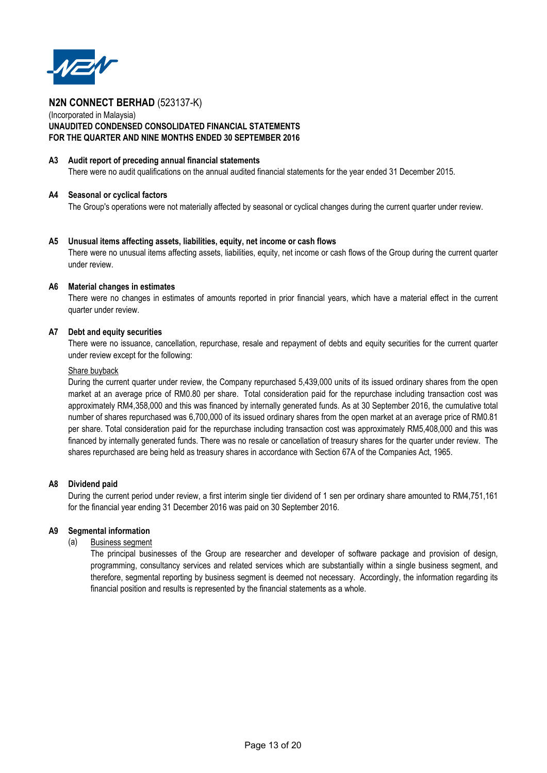

# (Incorporated in Malaysia) **UNAUDITED CONDENSED CONSOLIDATED FINANCIAL STATEMENTS FOR THE QUARTER AND NINE MONTHS ENDED 30 SEPTEMBER 2016**

### **A3 Audit report of preceding annual financial statements**

There were no audit qualifications on the annual audited financial statements for the year ended 31 December 2015.

### **A4 Seasonal or cyclical factors**

The Group's operations were not materially affected by seasonal or cyclical changes during the current quarter under review.

### **A5 Unusual items affecting assets, liabilities, equity, net income or cash flows**

There were no unusual items affecting assets, liabilities, equity, net income or cash flows of the Group during the current quarter under review.

# **A6 Material changes in estimates**

There were no changes in estimates of amounts reported in prior financial years, which have a material effect in the current quarter under review.

### **A7 Debt and equity securities**

There were no issuance, cancellation, repurchase, resale and repayment of debts and equity securities for the current quarter under review except for the following:

### Share buyback

During the current quarter under review, the Company repurchased 5,439,000 units of its issued ordinary shares from the open market at an average price of RM0.80 per share. Total consideration paid for the repurchase including transaction cost was approximately RM4,358,000 and this was financed by internally generated funds. As at 30 September 2016, the cumulative total number of shares repurchased was 6,700,000 of its issued ordinary shares from the open market at an average price of RM0.81 per share. Total consideration paid for the repurchase including transaction cost was approximately RM5,408,000 and this was financed by internally generated funds. There was no resale or cancellation of treasury shares for the quarter under review. The shares repurchased are being held as treasury shares in accordance with Section 67A of the Companies Act, 1965.

# **A8 Dividend paid**

During the current period under review, a first interim single tier dividend of 1 sen per ordinary share amounted to RM4,751,161 for the financial year ending 31 December 2016 was paid on 30 September 2016.

# **A9 Segmental information**

(a) Business segment

The principal businesses of the Group are researcher and developer of software package and provision of design, programming, consultancy services and related services which are substantially within a single business segment, and therefore, segmental reporting by business segment is deemed not necessary. Accordingly, the information regarding its financial position and results is represented by the financial statements as a whole.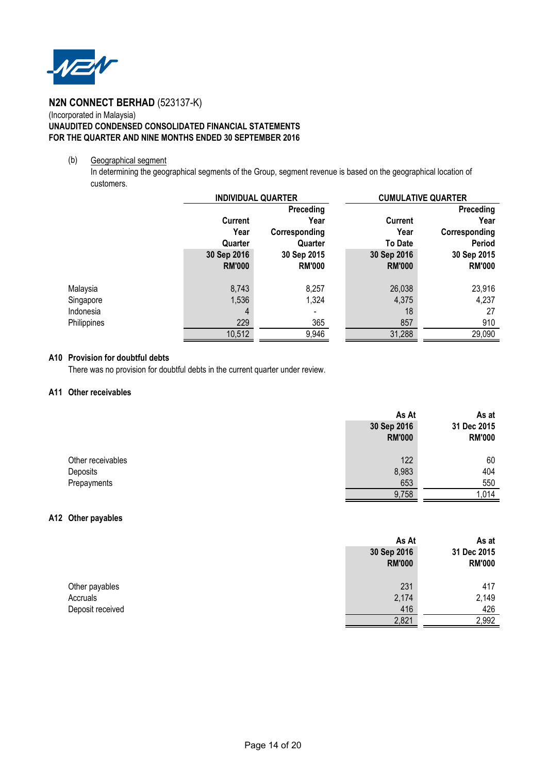

# (Incorporated in Malaysia) **UNAUDITED CONDENSED CONSOLIDATED FINANCIAL STATEMENTS FOR THE QUARTER AND NINE MONTHS ENDED 30 SEPTEMBER 2016**

# (b) Geographical segment

In determining the geographical segments of the Group, segment revenue is based on the geographical location of customers.

|             | <b>INDIVIDUAL QUARTER</b> |               | <b>CUMULATIVE QUARTER</b> |               |  |
|-------------|---------------------------|---------------|---------------------------|---------------|--|
|             |                           | Preceding     |                           | Preceding     |  |
|             | <b>Current</b>            | Year          | <b>Current</b>            | Year          |  |
|             | Year                      | Corresponding | Year                      | Corresponding |  |
|             | Quarter                   | Quarter       | <b>To Date</b>            | Period        |  |
|             | 30 Sep 2016               | 30 Sep 2015   | 30 Sep 2016               | 30 Sep 2015   |  |
|             | <b>RM'000</b>             | <b>RM'000</b> | <b>RM'000</b>             | <b>RM'000</b> |  |
| Malaysia    | 8,743                     | 8,257         | 26,038                    | 23,916        |  |
| Singapore   | 1,536                     | 1,324         | 4,375                     | 4,237         |  |
| Indonesia   | 4                         |               | 18                        | 27            |  |
| Philippines | 229                       | 365           | 857                       | 910           |  |
|             | 10,512                    | 9,946         | 31,288                    | 29,090        |  |

# **A10 Provision for doubtful debts**

There was no provision for doubtful debts in the current quarter under review.

# **A11 Other receivables**

|                   | As At         | As at         |
|-------------------|---------------|---------------|
|                   | 30 Sep 2016   | 31 Dec 2015   |
|                   | <b>RM'000</b> | <b>RM'000</b> |
|                   |               |               |
| Other receivables | 122           | 60            |
| Deposits          | 8,983         | 404           |
| Prepayments       | 653           | 550           |
|                   | 9,758         | ,014          |

# **A12 Other payables**

|                  | As At         | As at         |
|------------------|---------------|---------------|
|                  | 30 Sep 2016   | 31 Dec 2015   |
|                  | <b>RM'000</b> | <b>RM'000</b> |
| Other payables   | 231           | 417           |
| Accruals         | 2,174         | 2,149         |
| Deposit received | 416           | 426           |
|                  | 2,821         | 2,992         |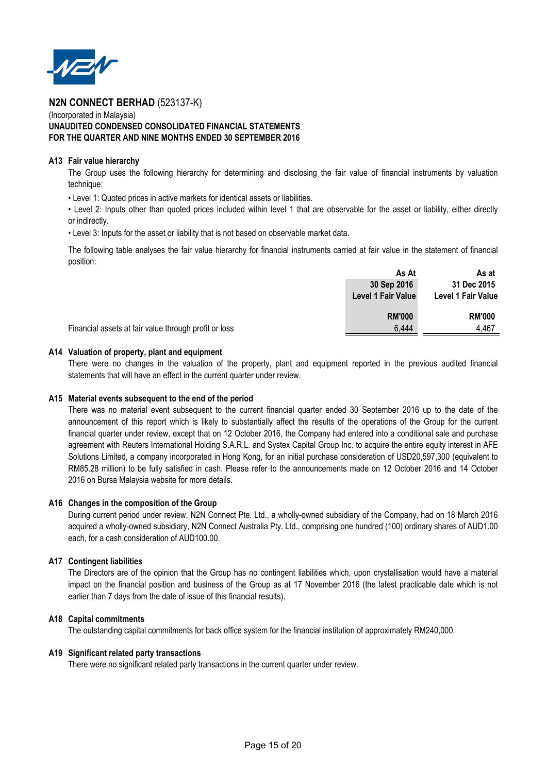

# (Incorporated in Malaysia) **UNAUDITED CONDENSED CONSOLIDATED FINANCIAL STATEMENTS FOR THE QUARTER AND NINE MONTHS ENDED 30 SEPTEMBER 2016**

### **A13** Fair value hierarchy

The Group uses the following hierarchy for determining and disclosing the fair value of financial instruments by valuation technique:

• Level 1: Quoted prices in active markets for identical assets or liabilities.

• Level 2: Inputs other than quoted prices included within level 1 that are observable for the asset or liability, either directly or indirectly.

• Level 3: Inputs for the asset or liability that is not based on observable market data.

The following table analyses the fair value hierarchy for financial instruments carried at fair value in the statement of financial position:

|                                                       | 30 Sep 2016        | 31 Dec 2015        |
|-------------------------------------------------------|--------------------|--------------------|
|                                                       | Level 1 Fair Value | Level 1 Fair Value |
|                                                       | <b>RM'000</b>      | <b>RM'000</b>      |
| Financial assets at fair value through profit or loss | 6,444              | 4,467              |

## A14 Valuation of property, plant and equipment

There were no changes in the valuation of the property, plant and equipment reported in the previous audited financial statements that will have an effect in the current quarter under review.

# **A15 Material events subsequent to the end of the period**

There was no material event subsequent to the current financial quarter ended 30 September 2016 up to the date of the announcement of this report which is likely to substantially affect the results of the operations of the Group for the current financial quarter under review, except that on 12 October 2016, the Company had entered into a conditional sale and purchase agreement with Reuters International Holding S.A.R.L. and Systex Capital Group Inc. to acquire the entire equity interest in AFE Solutions Limited, a company incorporated in Hong Kong, for an initial purchase consideration of USD20,597,300 (equivalent to RM85.28 million) to be fully satisfied in cash. Please refer to the announcements made on 12 October 2016 and 14 October 2016 on Bursa Malaysia website for more details.

#### **A16 Changes in the composition of the Group**

During current period under review, N2N Connect Pte. Ltd., a wholly-owned subsidiary of the Company, had on 18 March 2016 acquired a wholly-owned subsidiary, N2N Connect Australia Pty. Ltd., comprising one hundred (100) ordinary shares of AUD1.00 each, for a cash consideration of AUD100.00.

# **A17 Contingent liabilities**

The Directors are of the opinion that the Group has no contingent liabilities which, upon crystallisation would have a material impact on the financial position and business of the Group as at 17 November 2016 (the latest practicable date which is not earlier than 7 days from the date of issue of this financial results).

# **A18 Capital commitments**

The outstanding capital commitments for back office system for the financial institution of approximately RM240,000.

#### **A19 Significant related party transactions**

There were no significant related party transactions in the current quarter under review.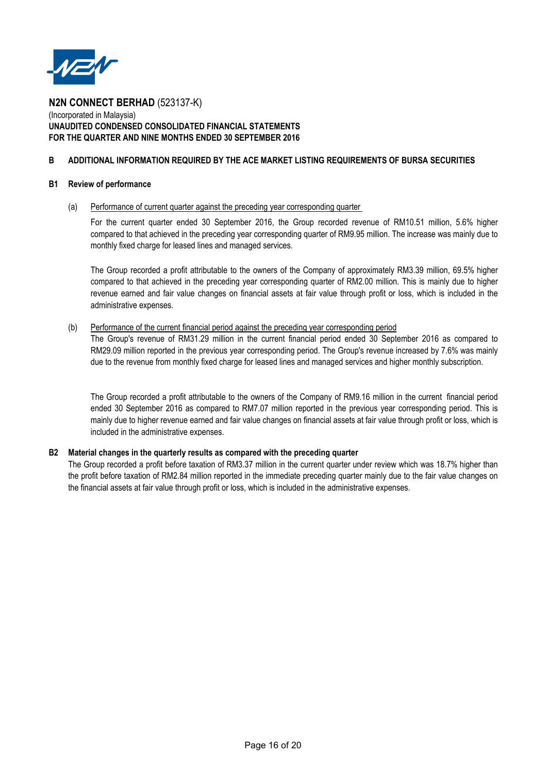

# (Incorporated in Malaysia) **UNAUDITED CONDENSED CONSOLIDATED FINANCIAL STATEMENTS FOR THE QUARTER AND NINE MONTHS ENDED 30 SEPTEMBER 2016**

# **B ADDITIONAL INFORMATION REQUIRED BY THE ACE MARKET LISTING REQUIREMENTS OF BURSA SECURITIES**

### **B1 Review of performance**

# (a) Performance of current quarter against the preceding year corresponding quarter

For the current quarter ended 30 September 2016, the Group recorded revenue of RM10.51 million, 5.6% higher compared to that achieved in the preceding year corresponding quarter of RM9.95 million. The increase was mainly due to monthly fixed charge for leased lines and managed services.

The Group recorded a profit attributable to the owners of the Company of approximately RM3.39 million, 69.5% higher compared to that achieved in the preceding year corresponding quarter of RM2.00 million. This is mainly due to higher revenue earned and fair value changes on financial assets at fair value through profit or loss, which is included in the administrative expenses.

### (b) Performance of the current financial period against the preceding year corresponding period

The Group's revenue of RM31.29 million in the current financial period ended 30 September 2016 as compared to RM29.09 million reported in the previous year corresponding period. The Group's revenue increased by 7.6% was mainly due to the revenue from monthly fixed charge for leased lines and managed services and higher monthly subscription.

The Group recorded a profit attributable to the owners of the Company of RM9.16 million in the current financial period ended 30 September 2016 as compared to RM7.07 million reported in the previous year corresponding period. This is mainly due to higher revenue earned and fair value changes on financial assets at fair value through profit or loss, which is included in the administrative expenses.

# **B2 Material changes in the quarterly results as compared with the preceding quarter**

The Group recorded a profit before taxation of RM3.37 million in the current quarter under review which was 18.7% higher than the profit before taxation of RM2.84 million reported in the immediate preceding quarter mainly due to the fair value changes on the financial assets at fair value through profit or loss, which is included in the administrative expenses.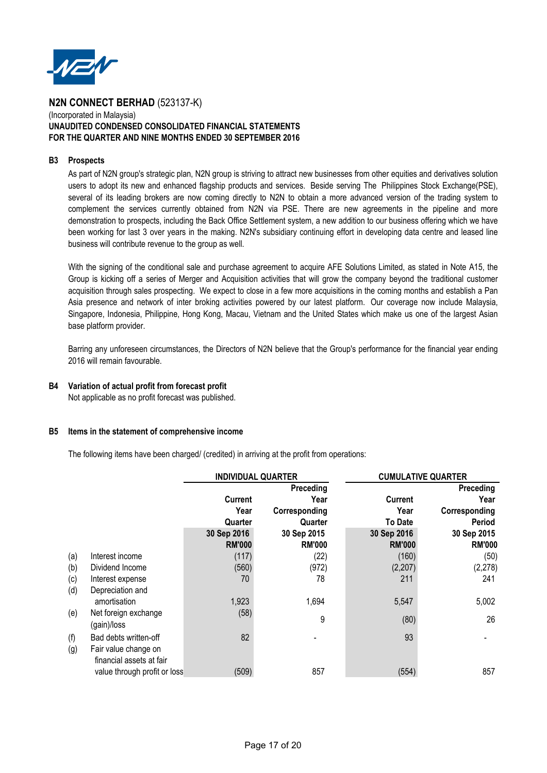

## (Incorporated in Malaysia) **UNAUDITED CONDENSED CONSOLIDATED FINANCIAL STATEMENTS FOR THE QUARTER AND NINE MONTHS ENDED 30 SEPTEMBER 2016**

# **B3 Prospects**

As part of N2N group's strategic plan, N2N group is striving to attract new businesses from other equities and derivatives solution users to adopt its new and enhanced flagship products and services. Beside serving The Philippines Stock Exchange(PSE), several of its leading brokers are now coming directly to N2N to obtain a more advanced version of the trading system to complement the services currently obtained from N2N via PSE. There are new agreements in the pipeline and more demonstration to prospects, including the Back Office Settlement system, a new addition to our business offering which we have been working for last 3 over years in the making. N2N's subsidiary continuing effort in developing data centre and leased line business will contribute revenue to the group as well.

With the signing of the conditional sale and purchase agreement to acquire AFE Solutions Limited, as stated in Note A15, the Group is kicking off a series of Merger and Acquisition activities that will grow the company beyond the traditional customer acquisition through sales prospecting. We expect to close in a few more acquisitions in the coming months and establish a Pan Asia presence and network of inter broking activities powered by our latest platform. Our coverage now include Malaysia, Singapore, Indonesia, Philippine, Hong Kong, Macau, Vietnam and the United States which make us one of the largest Asian base platform provider.

Barring any unforeseen circumstances, the Directors of N2N believe that the Group's performance for the financial year ending 2016 will remain favourable.

# **B4 Variation of actual profit from forecast profit**

Not applicable as no profit forecast was published.

# **B5 Items in the statement of comprehensive income**

The following items have been charged/ (credited) in arriving at the profit from operations:

|     |                              | <b>INDIVIDUAL QUARTER</b> |               |                | <b>CUMULATIVE QUARTER</b> |
|-----|------------------------------|---------------------------|---------------|----------------|---------------------------|
|     |                              |                           | Preceding     |                | Preceding                 |
|     |                              | <b>Current</b>            | Year          | <b>Current</b> | Year                      |
|     |                              | Year                      | Corresponding | Year           | Corresponding             |
|     |                              | Quarter                   | Quarter       | <b>To Date</b> | <b>Period</b>             |
|     |                              | 30 Sep 2016               | 30 Sep 2015   | 30 Sep 2016    | 30 Sep 2015               |
|     |                              | <b>RM'000</b>             | <b>RM'000</b> | <b>RM'000</b>  | <b>RM'000</b>             |
| (a) | Interest income              | (117)                     | (22)          | (160)          | (50)                      |
| (b) | Dividend Income              | (560)                     | (972)         | (2,207)        | (2, 278)                  |
| (c) | Interest expense             | 70                        | 78            | 211            | 241                       |
| (d) | Depreciation and             |                           |               |                |                           |
|     | amortisation                 | 1,923                     | 1,694         | 5,547          | 5,002                     |
| (e) | Net foreign exchange         | (58)                      | 9             | (80)           | 26                        |
|     | (gain)/loss                  |                           |               |                |                           |
| (f) | Bad debts written-off        | 82                        |               | 93             |                           |
| (g) | Fair value change on         |                           |               |                |                           |
|     | financial assets at fair     |                           |               |                |                           |
|     | value through profit or loss | (509)                     | 857           | (554)          | 857                       |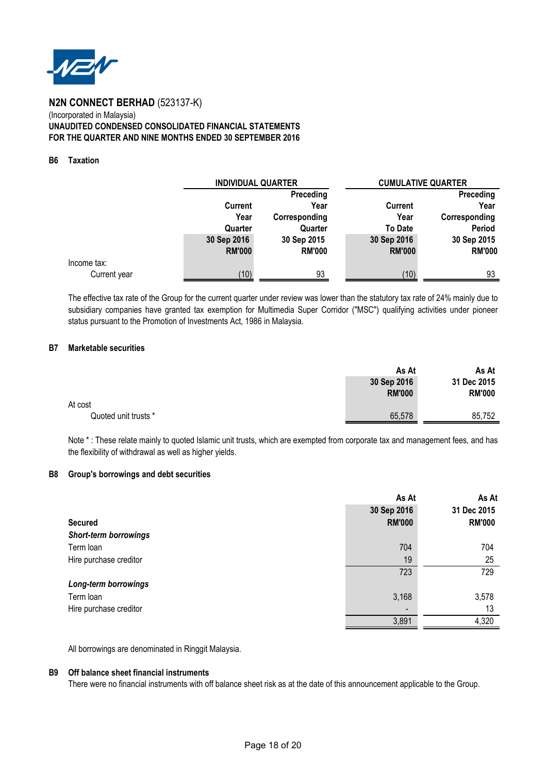

# **N2N CONNECT BERHAD** (523137-K) (Incorporated in Malaysia) **UNAUDITED CONDENSED CONSOLIDATED FINANCIAL STATEMENTS FOR THE QUARTER AND NINE MONTHS ENDED 30 SEPTEMBER 2016**

# **B6 Taxation**

|              |               | <b>INDIVIDUAL QUARTER</b> |                | <b>CUMULATIVE QUARTER</b> |  |
|--------------|---------------|---------------------------|----------------|---------------------------|--|
|              |               | Preceding                 |                | Preceding                 |  |
|              | Current       | Year                      | Current        | Year                      |  |
|              | Year          | Corresponding             | Year           | Corresponding             |  |
|              | Quarter       | Quarter                   | <b>To Date</b> | Period                    |  |
|              | 30 Sep 2016   | 30 Sep 2015               | 30 Sep 2016    | 30 Sep 2015               |  |
|              | <b>RM'000</b> | <b>RM'000</b>             | <b>RM'000</b>  | <b>RM'000</b>             |  |
| Income tax:  |               |                           |                |                           |  |
| Current year | 10)           | 93                        | (10)           | 93                        |  |

The effective tax rate of the Group for the current quarter under review was lower than the statutory tax rate of 24% mainly due to subsidiary companies have granted tax exemption for Multimedia Super Corridor ("MSC") qualifying activities under pioneer status pursuant to the Promotion of Investments Act, 1986 in Malaysia.

## **B7 Marketable securities**

|                      | As At                        | As At                        |
|----------------------|------------------------------|------------------------------|
|                      | 30 Sep 2016<br><b>RM'000</b> | 31 Dec 2015<br><b>RM'000</b> |
| At cost              |                              |                              |
| Quoted unit trusts * | 65,578                       | 85,752                       |

Note \*: These relate mainly to quoted Islamic unit trusts, which are exempted from corporate tax and management fees, and has the flexibility of withdrawal as well as higher yields.

#### **B8 Group's borrowings and debt securities**

|                              | As At         | As At         |
|------------------------------|---------------|---------------|
|                              | 30 Sep 2016   | 31 Dec 2015   |
| <b>Secured</b>               | <b>RM'000</b> | <b>RM'000</b> |
| <b>Short-term borrowings</b> |               |               |
| Term loan                    | 704           | 704           |
| Hire purchase creditor       | 19            | 25            |
|                              | 723           | 729           |
| Long-term borrowings         |               |               |
| Term loan                    | 3,168         | 3,578         |
| Hire purchase creditor       |               | 13            |
|                              | 3,891         | 4,320         |
|                              |               |               |

All borrowings are denominated in Ringgit Malaysia.

#### **B9 Off balance sheet financial instruments**

There were no financial instruments with off balance sheet risk as at the date of this announcement applicable to the Group.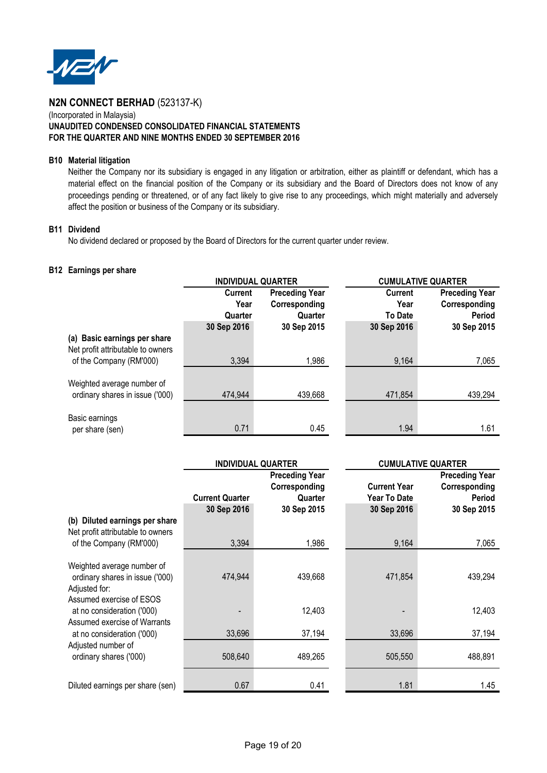

# (Incorporated in Malaysia) **UNAUDITED CONDENSED CONSOLIDATED FINANCIAL STATEMENTS FOR THE QUARTER AND NINE MONTHS ENDED 30 SEPTEMBER 2016**

# **B10 Material litigation**

Neither the Company nor its subsidiary is engaged in any litigation or arbitration, either as plaintiff or defendant, which has a material effect on the financial position of the Company or its subsidiary and the Board of Directors does not know of any proceedings pending or threatened, or of any fact likely to give rise to any proceedings, which might materially and adversely affect the position or business of the Company or its subsidiary.

# **B11 Dividend**

No dividend declared or proposed by the Board of Directors for the current quarter under review.

### **B12 Earnings per share**

|                                                                   | <b>INDIVIDUAL QUARTER</b> |                       | <b>CUMULATIVE QUARTER</b> |                       |
|-------------------------------------------------------------------|---------------------------|-----------------------|---------------------------|-----------------------|
|                                                                   | <b>Current</b>            | <b>Preceding Year</b> | <b>Current</b>            | <b>Preceding Year</b> |
|                                                                   | Year                      | Corresponding         | Year                      | Corresponding         |
|                                                                   | Quarter                   | Quarter               | <b>To Date</b>            | <b>Period</b>         |
|                                                                   | 30 Sep 2016               | 30 Sep 2015           | 30 Sep 2016               | 30 Sep 2015           |
| (a) Basic earnings per share<br>Net profit attributable to owners |                           |                       |                           |                       |
| of the Company (RM'000)                                           | 3,394                     | 1,986                 | 9,164                     | 7,065                 |
|                                                                   |                           |                       |                           |                       |
| Weighted average number of                                        |                           |                       |                           |                       |
| ordinary shares in issue ('000)                                   | 474,944                   | 439,668               | 471,854                   | 439,294               |
|                                                                   |                           |                       |                           |                       |
| Basic earnings                                                    |                           |                       |                           |                       |
| per share (sen)                                                   | 0.71                      | 0.45                  | 1.94                      | 1.61                  |

|                                                                                                            | <b>INDIVIDUAL QUARTER</b> |                                                   |                                     | <b>CUMULATIVE QUARTER</b>                               |  |
|------------------------------------------------------------------------------------------------------------|---------------------------|---------------------------------------------------|-------------------------------------|---------------------------------------------------------|--|
|                                                                                                            | <b>Current Quarter</b>    | <b>Preceding Year</b><br>Corresponding<br>Quarter | <b>Current Year</b><br>Year To Date | <b>Preceding Year</b><br>Corresponding<br><b>Period</b> |  |
| Diluted earnings per share<br>(b)<br>Net profit attributable to owners                                     | 30 Sep 2016               | 30 Sep 2015                                       | 30 Sep 2016                         | 30 Sep 2015                                             |  |
| of the Company (RM'000)                                                                                    | 3,394                     | 1,986                                             | 9,164                               | 7,065                                                   |  |
| Weighted average number of<br>ordinary shares in issue ('000)<br>Adjusted for:<br>Assumed exercise of ESOS | 474,944                   | 439,668                                           | 471,854                             | 439,294                                                 |  |
| at no consideration ('000)<br>Assumed exercise of Warrants                                                 |                           | 12,403                                            |                                     | 12,403                                                  |  |
| at no consideration ('000)                                                                                 | 33,696                    | 37,194                                            | 33,696                              | 37,194                                                  |  |
| Adjusted number of<br>ordinary shares ('000)                                                               | 508,640                   | 489,265                                           | 505,550                             | 488,891                                                 |  |
| Diluted earnings per share (sen)                                                                           | 0.67                      | 0.41                                              | 1.81                                | 1.45                                                    |  |